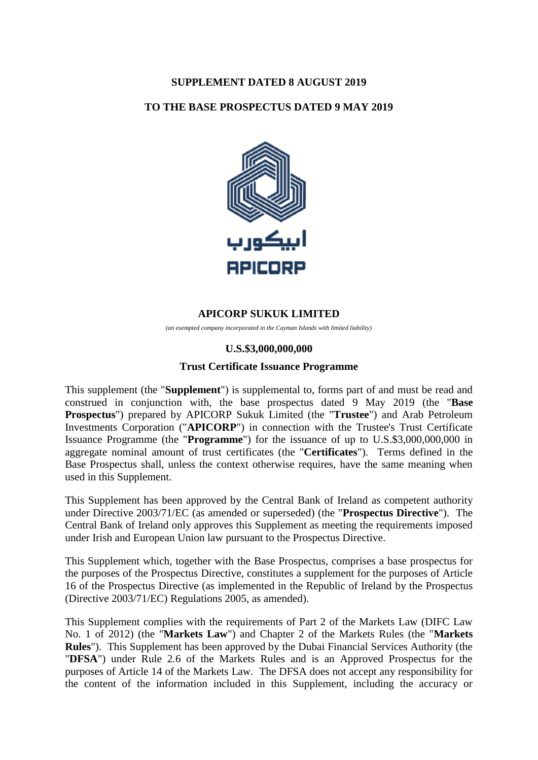# **SUPPLEMENT DATED 8 AUGUST 2019**

## **TO THE BASE PROSPECTUS DATED 9 MAY 2019**



# **APICORP SUKUK LIMITED**

*(an exempted company incorporated in the Cayman Islands with limited liability)*

#### **U.S.\$3,000,000,000**

#### **Trust Certificate Issuance Programme**

This supplement (the "**Supplement**") is supplemental to, forms part of and must be read and construed in conjunction with, the base prospectus dated 9 May 2019 (the "**Base Prospectus**") prepared by APICORP Sukuk Limited (the "**Trustee**") and Arab Petroleum Investments Corporation ("**APICORP**") in connection with the Trustee's Trust Certificate Issuance Programme (the "**Programme**") for the issuance of up to U.S.\$3,000,000,000 in aggregate nominal amount of trust certificates (the "**Certificates**"). Terms defined in the Base Prospectus shall, unless the context otherwise requires, have the same meaning when used in this Supplement.

This Supplement has been approved by the Central Bank of Ireland as competent authority under Directive 2003/71/EC (as amended or superseded) (the "**Prospectus Directive**"). The Central Bank of Ireland only approves this Supplement as meeting the requirements imposed under Irish and European Union law pursuant to the Prospectus Directive.

This Supplement which, together with the Base Prospectus, comprises a base prospectus for the purposes of the Prospectus Directive, constitutes a supplement for the purposes of Article 16 of the Prospectus Directive (as implemented in the Republic of Ireland by the Prospectus (Directive 2003/71/EC) Regulations 2005, as amended).

This Supplement complies with the requirements of Part 2 of the Markets Law (DIFC Law No. 1 of 2012) (the "**Markets Law**") and Chapter 2 of the Markets Rules (the "**Markets Rules**"). This Supplement has been approved by the Dubai Financial Services Authority (the "**DFSA**") under Rule 2.6 of the Markets Rules and is an Approved Prospectus for the purposes of Article 14 of the Markets Law. The DFSA does not accept any responsibility for the content of the information included in this Supplement, including the accuracy or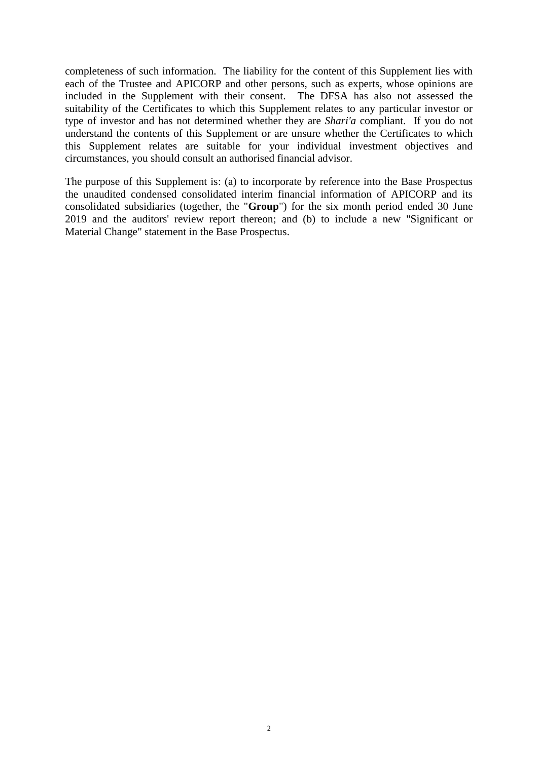completeness of such information. The liability for the content of this Supplement lies with each of the Trustee and APICORP and other persons, such as experts, whose opinions are included in the Supplement with their consent. The DFSA has also not assessed the suitability of the Certificates to which this Supplement relates to any particular investor or type of investor and has not determined whether they are *Shari'a* compliant. If you do not understand the contents of this Supplement or are unsure whether the Certificates to which this Supplement relates are suitable for your individual investment objectives and circumstances, you should consult an authorised financial advisor.

The purpose of this Supplement is: (a) to incorporate by reference into the Base Prospectus the unaudited condensed consolidated interim financial information of APICORP and its consolidated subsidiaries (together, the "**Group**") for the six month period ended 30 June 2019 and the auditors' review report thereon; and (b) to include a new "Significant or Material Change" statement in the Base Prospectus.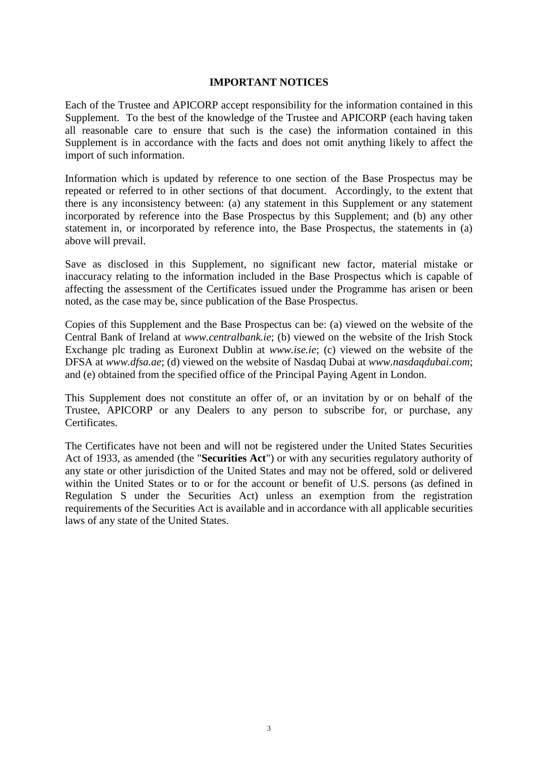## **IMPORTANT NOTICES**

Each of the Trustee and APICORP accept responsibility for the information contained in this Supplement. To the best of the knowledge of the Trustee and APICORP (each having taken all reasonable care to ensure that such is the case) the information contained in this Supplement is in accordance with the facts and does not omit anything likely to affect the import of such information.

Information which is updated by reference to one section of the Base Prospectus may be repeated or referred to in other sections of that document. Accordingly, to the extent that there is any inconsistency between: (a) any statement in this Supplement or any statement incorporated by reference into the Base Prospectus by this Supplement; and (b) any other statement in, or incorporated by reference into, the Base Prospectus, the statements in (a) above will prevail.

Save as disclosed in this Supplement, no significant new factor, material mistake or inaccuracy relating to the information included in the Base Prospectus which is capable of affecting the assessment of the Certificates issued under the Programme has arisen or been noted, as the case may be, since publication of the Base Prospectus.

Copies of this Supplement and the Base Prospectus can be: (a) viewed on the website of the Central Bank of Ireland at *www.centralbank.ie*; (b) viewed on the website of the Irish Stock Exchange plc trading as Euronext Dublin at *www.ise.ie*; (c) viewed on the website of the DFSA at *www.dfsa.ae*; (d) viewed on the website of Nasdaq Dubai at *www.nasdaqdubai.com*; and (e) obtained from the specified office of the Principal Paying Agent in London.

This Supplement does not constitute an offer of, or an invitation by or on behalf of the Trustee, APICORP or any Dealers to any person to subscribe for, or purchase, any Certificates.

The Certificates have not been and will not be registered under the United States Securities Act of 1933, as amended (the "**Securities Act**") or with any securities regulatory authority of any state or other jurisdiction of the United States and may not be offered, sold or delivered within the United States or to or for the account or benefit of U.S. persons (as defined in Regulation S under the Securities Act) unless an exemption from the registration requirements of the Securities Act is available and in accordance with all applicable securities laws of any state of the United States.